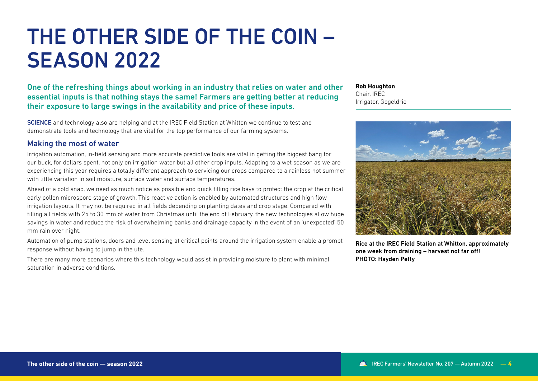# THE OTHER SIDE OF THE COIN – **SEASON 2022**

One of the refreshing things about working in an industry that relies on water and other essential inputs is that nothing stays the same! Farmers are getting better at reducing their exposure to large swings in the availability and price of these inputs.

**SCIENCE** and technology also are helping and at the IREC Field Station at Whitton we continue to test and demonstrate tools and technology that are vital for the top performance of our farming systems.

## Making the most of water

Irrigation automation, in-field sensing and more accurate predictive tools are vital in getting the biggest bang for our buck, for dollars spent, not only on irrigation water but all other crop inputs. Adapting to a wet season as we are experiencing this year requires a totally different approach to servicing our crops compared to a rainless hot summer with little variation in soil moisture, surface water and surface temperatures.

Ahead of a cold snap, we need as much notice as possible and quick filling rice bays to protect the crop at the critical early pollen microspore stage of growth. This reactive action is enabled by automated structures and high flow irrigation layouts. It may not be required in all fields depending on planting dates and crop stage. Compared with filling all fields with 25 to 30 mm of water from Christmas until the end of February, the new technologies allow huge savings in water and reduce the risk of overwhelming banks and drainage capacity in the event of an 'unexpected' 50 mm rain over night.

Automation of pump stations, doors and level sensing at critical points around the irrigation system enable a prompt response without having to jump in the ute.

There are many more scenarios where this technology would assist in providing moisture to plant with minimal saturation in adverse conditions.

**Rob Houghton** Chair, IREC Irrigator, Gogeldrie



Rice at the IREC Field Station at Whitton, approximately one week from draining – harvest not far off! PHOTO: Hayden Petty